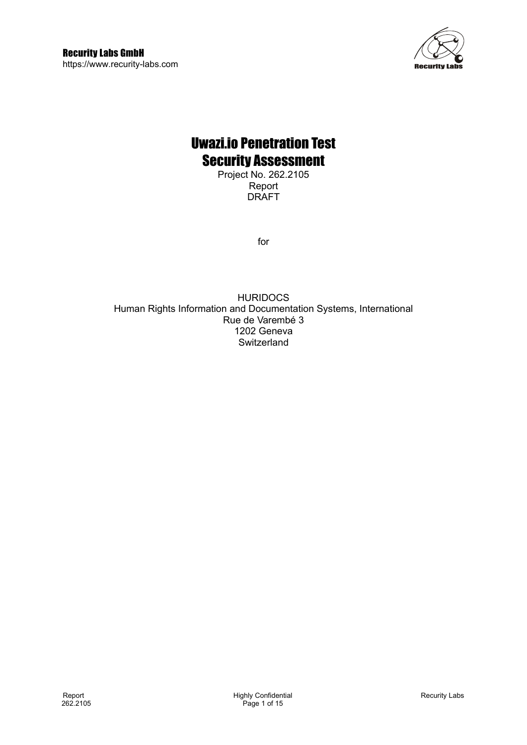

# Uwazi.io Penetration Test Security Assessment

Project No. 262.2105 Report DRAFT

for

HURIDOCS Human Rights Information and Documentation Systems, International Rue de Varembé 3 1202 Geneva **Switzerland**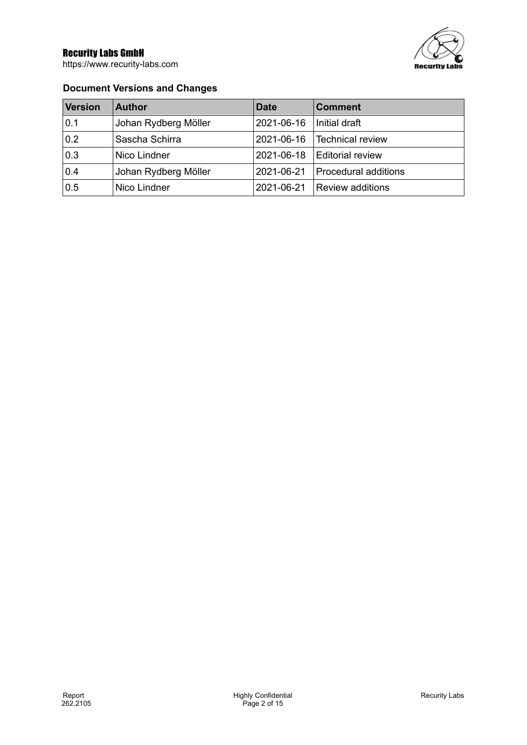https://www.recurity-labs.com



### **Document Versions and Changes**

| <b>Version</b> | <b>Author</b>        | <b>Date</b> | <b>Comment</b>          |
|----------------|----------------------|-------------|-------------------------|
| 0.1            | Johan Rydberg Möller | 2021-06-16  | Initial draft           |
| 0.2            | Sascha Schirra       | 2021-06-16  | Technical review        |
| 0.3            | Nico Lindner         | 2021-06-18  | <b>Editorial review</b> |
| 0.4            | Johan Rydberg Möller | 2021-06-21  | Procedural additions    |
| 0.5            | Nico Lindner         | 2021-06-21  | Review additions        |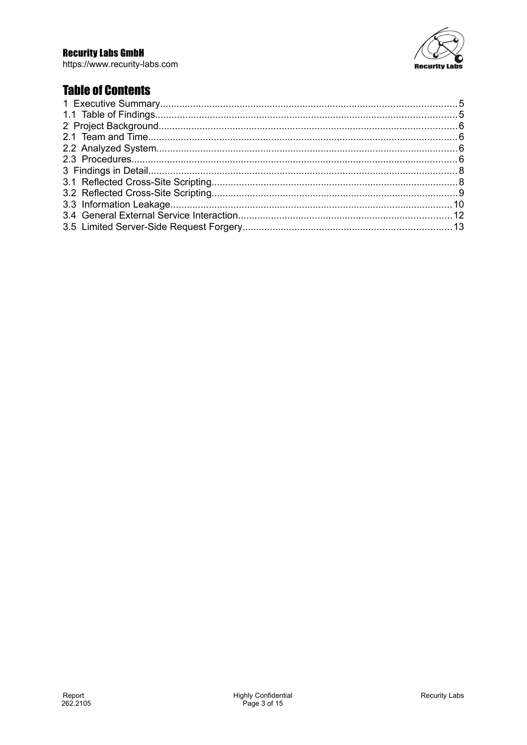https://www.recurity-labs.com



# **Table of Contents**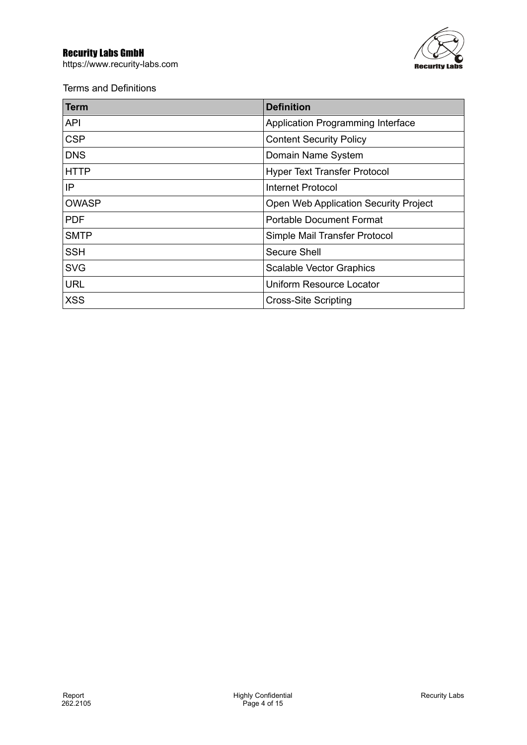https://www.recurity-labs.com



Terms and Definitions

| Term         | <b>Definition</b>                        |
|--------------|------------------------------------------|
| <b>API</b>   | <b>Application Programming Interface</b> |
| <b>CSP</b>   | <b>Content Security Policy</b>           |
| <b>DNS</b>   | Domain Name System                       |
| <b>HTTP</b>  | <b>Hyper Text Transfer Protocol</b>      |
| IP           | Internet Protocol                        |
| <b>OWASP</b> | Open Web Application Security Project    |
| <b>PDF</b>   | <b>Portable Document Format</b>          |
| <b>SMTP</b>  | Simple Mail Transfer Protocol            |
| <b>SSH</b>   | Secure Shell                             |
| <b>SVG</b>   | <b>Scalable Vector Graphics</b>          |
| <b>URL</b>   | <b>Uniform Resource Locator</b>          |
| <b>XSS</b>   | <b>Cross-Site Scripting</b>              |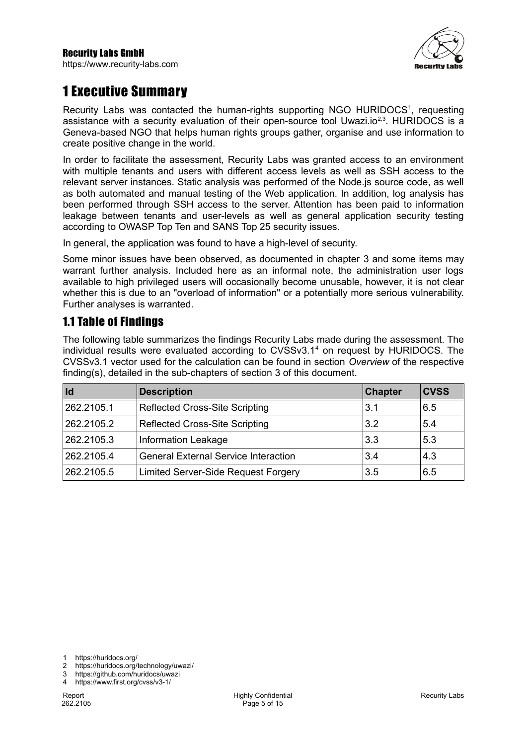

# <span id="page-4-1"></span>1 Executive Summary

Recurity Labs was contacted the human-rights supporting NGO HURIDOCS<sup>[1](#page-4-2)</sup>, requesting assistance with a security evaluation of their open-source tool Uwazi.io<sup>[2](#page-4-3)[,3](#page-4-4)</sup>. HURIDOCS is a Geneva-based NGO that helps human rights groups gather, organise and use information to create positive change in the world.

In order to facilitate the assessment, Recurity Labs was granted access to an environment with multiple tenants and users with different access levels as well as SSH access to the relevant server instances. Static analysis was performed of the Node.js source code, as well as both automated and manual testing of the Web application. In addition, log analysis has been performed through SSH access to the server. Attention has been paid to information leakage between tenants and user-levels as well as general application security testing according to OWASP Top Ten and SANS Top 25 security issues.

In general, the application was found to have a high-level of security.

Some minor issues have been observed, as documented in chapter [3](#page-7-2) and some items may warrant further analysis. Included here as an informal note, the administration user logs available to high privileged users will occasionally become unusable, however, it is not clear whether this is due to an "overload of information" or a potentially more serious vulnerability. Further analyses is warranted.

# <span id="page-4-0"></span>1.1 Table of Findings

The following table summarizes the findings Recurity Labs made during the assessment. The individual results were evaluated according to CVSSv3.1<sup>[4](#page-4-5)</sup> on request by HURIDOCS. The CVSSv3.1 vector used for the calculation can be found in section *Overview* of the respective finding(s), detailed in the sub-chapters of section [3](#page-7-2) of this document.

| Id         | <b>Description</b>                          | <b>Chapter</b> | <b>CVSS</b> |
|------------|---------------------------------------------|----------------|-------------|
| 262.2105.1 | <b>Reflected Cross-Site Scripting</b>       | 3.1            | 6.5         |
| 262.2105.2 | <b>Reflected Cross-Site Scripting</b>       | 3.2            | 5.4         |
| 262.2105.3 | <b>Information Leakage</b>                  | 3.3            | 5.3         |
| 262.2105.4 | <b>General External Service Interaction</b> | 3.4            | 4.3         |
| 262.2105.5 | Limited Server-Side Request Forgery         | 3.5            | 6.5         |

<span id="page-4-2"></span>1 https://huridocs.org/

<span id="page-4-3"></span>2 https://huridocs.org/technology/uwazi/

<span id="page-4-5"></span><span id="page-4-4"></span>3 https://github.com/huridocs/uwazi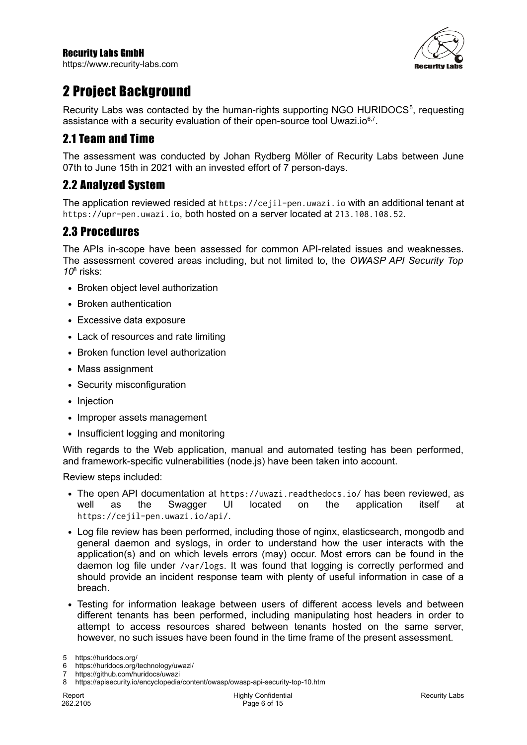https://www.recurity-labs.com



# <span id="page-5-3"></span>2 Project Background

Recurity Labs was contacted by the human-rights supporting NGO HURIDOCS<sup>[5](#page-5-4)</sup>, requesting assistance with a security evaluation of their open-source tool Uwazi.io $^{6,7}$  $^{6,7}$  $^{6,7}$  $^{6,7}$ .

## <span id="page-5-2"></span>2.1 Team and Time

The assessment was conducted by Johan Rydberg Möller of Recurity Labs between June 07th to June 15th in 2021 with an invested effort of 7 person-days.

## <span id="page-5-1"></span>2.2 Analyzed System

The application reviewed resided at https://cejil-pen.uwazi.io with an additional tenant at https://upr-pen.uwazi.io, both hosted on a server located at 213.108.108.52.

### <span id="page-5-0"></span>2.3 Procedures

The APIs in-scope have been assessed for common API-related issues and weaknesses. The assessment covered areas including, but not limited to, the *OWASP API Security Top 10*[8](#page-5-7) risks:

- Broken object level authorization
- Broken authentication
- Excessive data exposure
- Lack of resources and rate limiting
- Broken function level authorization
- Mass assignment
- Security misconfiguration
- Injection
- Improper assets management
- Insufficient logging and monitoring

With regards to the Web application, manual and automated testing has been performed, and framework-specific vulnerabilities (node.js) have been taken into account.

Review steps included:

- The open API documentation at https://uwazi.readthedocs.io/ has been reviewed, as well as the Swagger UI located on the application itself at https://cejil-pen.uwazi.io/api/.
- Log file review has been performed, including those of nginx, elasticsearch, mongodb and general daemon and syslogs, in order to understand how the user interacts with the application(s) and on which levels errors (may) occur. Most errors can be found in the daemon log file under /var/logs. It was found that logging is correctly performed and should provide an incident response team with plenty of useful information in case of a breach.
- Testing for information leakage between users of different access levels and between different tenants has been performed, including manipulating host headers in order to attempt to access resources shared between tenants hosted on the same server, however, no such issues have been found in the time frame of the present assessment.

<span id="page-5-4"></span><sup>5</sup> https://huridocs.org/

<span id="page-5-5"></span><sup>6</sup> https://huridocs.org/technology/uwazi/

<span id="page-5-6"></span>https://github.com/huridocs/uwazi

<span id="page-5-7"></span><sup>8</sup> https://apisecurity.io/encyclopedia/content/owasp/owasp-api-security-top-10.htm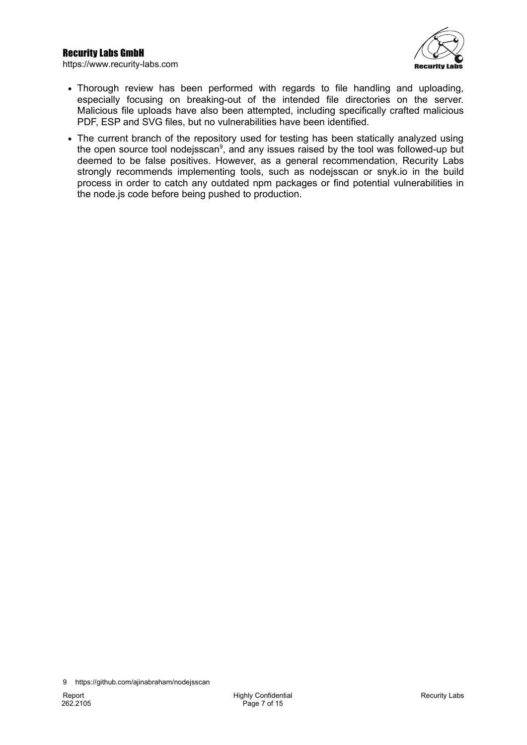



- Thorough review has been performed with regards to file handling and uploading, especially focusing on breaking-out of the intended file directories on the server. Malicious file uploads have also been attempted, including specifically crafted malicious PDF, ESP and SVG files, but no vulnerabilities have been identified.
- The current branch of the repository used for testing has been statically analyzed using the open source tool nodejsscan<sup>[9](#page-6-0)</sup>, and any issues raised by the tool was followed-up but deemed to be false positives. However, as a general recommendation, Recurity Labs strongly recommends implementing tools, such as nodejsscan or snyk.io in the build process in order to catch any outdated npm packages or find potential vulnerabilities in the node.js code before being pushed to production.

<span id="page-6-0"></span><sup>9</sup> https://github.com/ajinabraham/nodejsscan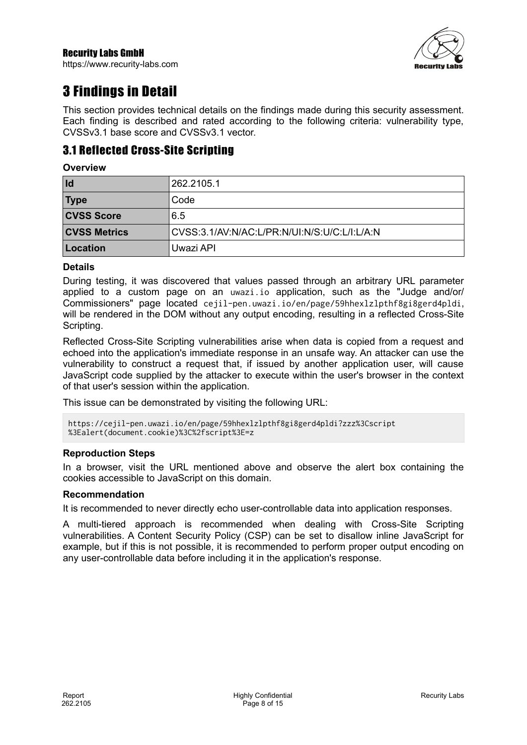https://www.recurity-labs.com



# <span id="page-7-1"></span>3 Findings in Detail

<span id="page-7-2"></span>This section provides technical details on the findings made during this security assessment. Each finding is described and rated according to the following criteria: vulnerability type, CVSSv3.1 base score and CVSSv3.1 vector.

### <span id="page-7-0"></span>3.1 Reflected Cross-Site Scripting

#### **Overview**

| Id                  | 262.2105.1                                   |
|---------------------|----------------------------------------------|
| <b>Type</b>         | Code                                         |
| <b>CVSS Score</b>   | 6.5                                          |
| <b>CVSS Metrics</b> | CVSS:3.1/AV:N/AC:L/PR:N/UI:N/S:U/C:L/I:L/A:N |
| Location            | Uwazi API                                    |

#### **Details**

During testing, it was discovered that values passed through an arbitrary URL parameter applied to a custom page on an uwazi.io application, such as the "Judge and/or/ Commissioners" page located cejil-pen.uwazi.io/en/page/59hhexlzlpthf8gi8gerd4pldi, will be rendered in the DOM without any output encoding, resulting in a reflected Cross-Site Scripting.

Reflected Cross-Site Scripting vulnerabilities arise when data is copied from a request and echoed into the application's immediate response in an unsafe way. An attacker can use the vulnerability to construct a request that, if issued by another application user, will cause JavaScript code supplied by the attacker to execute within the user's browser in the context of that user's session within the application.

This issue can be demonstrated by visiting the following URL:

```
https://cejil-pen.uwazi.io/en/page/59hhexlzlpthf8gi8gerd4pldi?zzz%3Cscript
%3Ealert(document.cookie)%3C%2fscript%3E=z
```
#### **Reproduction Steps**

In a browser, visit the URL mentioned above and observe the alert box containing the cookies accessible to JavaScript on this domain.

#### **Recommendation**

It is recommended to never directly echo user-controllable data into application responses.

A multi-tiered approach is recommended when dealing with Cross-Site Scripting vulnerabilities. A Content Security Policy (CSP) can be set to disallow inline JavaScript for example, but if this is not possible, it is recommended to perform proper output encoding on any user-controllable data before including it in the application's response.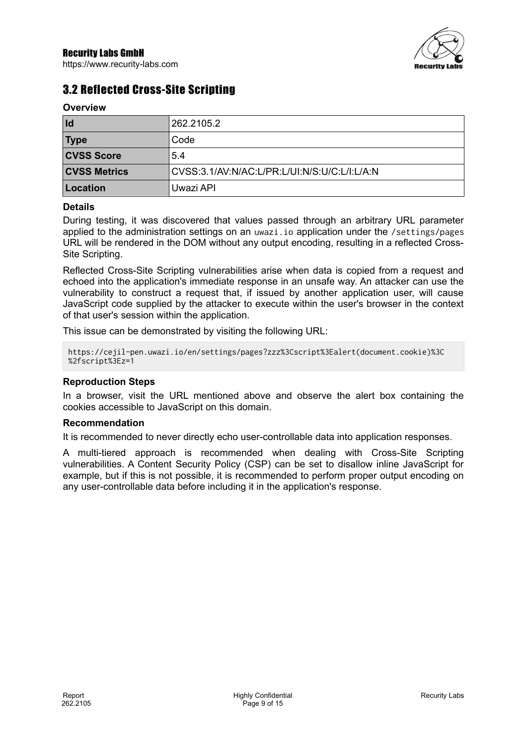

# <span id="page-8-0"></span>3.2 Reflected Cross-Site Scripting

#### **Overview**

| Id                  | 262.2105.2                                   |
|---------------------|----------------------------------------------|
| <b>Type</b>         | Code                                         |
| <b>CVSS Score</b>   | 5.4                                          |
| <b>CVSS Metrics</b> | CVSS:3.1/AV:N/AC:L/PR:L/UI:N/S:U/C:L/I:L/A:N |
| Location            | Uwazi API                                    |

#### **Details**

During testing, it was discovered that values passed through an arbitrary URL parameter applied to the administration settings on an uwazi.io application under the /settings/pages URL will be rendered in the DOM without any output encoding, resulting in a reflected Cross-Site Scripting.

Reflected Cross-Site Scripting vulnerabilities arise when data is copied from a request and echoed into the application's immediate response in an unsafe way. An attacker can use the vulnerability to construct a request that, if issued by another application user, will cause JavaScript code supplied by the attacker to execute within the user's browser in the context of that user's session within the application.

This issue can be demonstrated by visiting the following URL:

```
https://cejil-pen.uwazi.io/en/settings/pages?zzz%3Cscript%3Ealert(document.cookie)%3C
%2fscript%3Ez=1
```
#### **Reproduction Steps**

In a browser, visit the URL mentioned above and observe the alert box containing the cookies accessible to JavaScript on this domain.

#### **Recommendation**

It is recommended to never directly echo user-controllable data into application responses.

A multi-tiered approach is recommended when dealing with Cross-Site Scripting vulnerabilities. A Content Security Policy (CSP) can be set to disallow inline JavaScript for example, but if this is not possible, it is recommended to perform proper output encoding on any user-controllable data before including it in the application's response.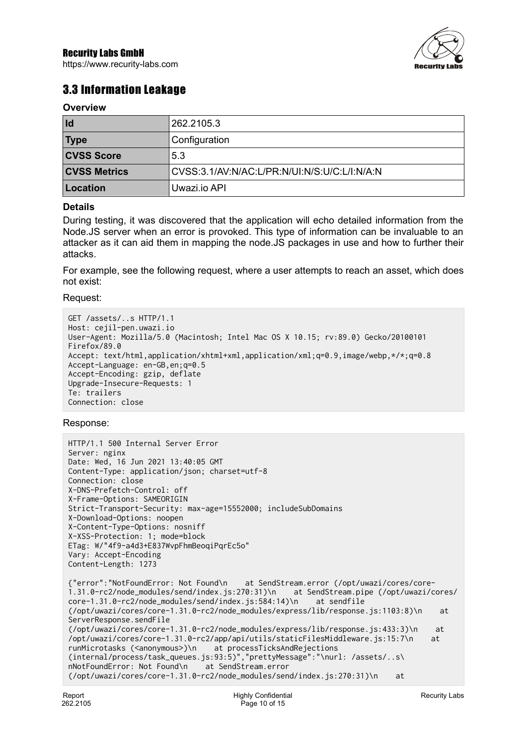https://www.recurity-labs.com



## <span id="page-9-0"></span>3.3 Information Leakage

#### **Overview**

| Id                  | 262.2105.3                                   |
|---------------------|----------------------------------------------|
| <b>Type</b>         | <sup>l</sup> Configuration                   |
| <b>CVSS Score</b>   | 5.3                                          |
| <b>CVSS Metrics</b> | CVSS:3.1/AV:N/AC:L/PR:N/UI:N/S:U/C:L/I:N/A:N |
| Location            | Uwazi.io API                                 |

#### **Details**

During testing, it was discovered that the application will echo detailed information from the Node.JS server when an error is provoked. This type of information can be invaluable to an attacker as it can aid them in mapping the node.JS packages in use and how to further their attacks.

For example, see the following request, where a user attempts to reach an asset, which does not exist:

Request:

```
GET /assets/..s HTTP/1.1
Host: cejil-pen.uwazi.io
User-Agent: Mozilla/5.0 (Macintosh; Intel Mac OS X 10.15; rv:89.0) Gecko/20100101 
Firefox/89.0
Accept: text/html,application/xhtml+xml,application/xml;q=0.9,image/webp,*/*;q=0.8
Accept-Language: en-GB,en;q=0.5
Accept-Encoding: gzip, deflate
Upgrade-Insecure-Requests: 1
Te: trailers
Connection: close
```
#### Response:

```
HTTP/1.1 500 Internal Server Error
Server: nginx
Date: Wed, 16 Jun 2021 13:40:05 GMT
Content-Type: application/json; charset=utf-8
Connection: close
X-DNS-Prefetch-Control: off
X-Frame-Options: SAMEORIGIN
Strict-Transport-Security: max-age=15552000; includeSubDomains
X-Download-Options: noopen
X-Content-Type-Options: nosniff
X-XSS-Protection: 1; mode=block
ETag: W/"4f9-a4d3+E837WvpFhmBeoqiPqrEc5o"
Vary: Accept-Encoding
Content-Length: 1273
{"error":"NotFoundError: Not Found\n at SendStream.error (/opt/uwazi/cores/core-
1.31.0-rc2/node_modules/send/index.js:270:31)\n at SendStream.pip<br>core-1.31.0-rc2/node_modules/send/index.js:584:14)\n at sendfile
core-1.31.0-rc2/node_modules/send/index.js:584:14)\n
(/opt/uwazi/cores/core-1.31.0-rc2/node_modules/express/lib/response.js:1103:8)\n at 
ServerResponse.sendFile 
(/opt/uwazi/cores/core-1.31.0-rc2/node_modules/express/lib/response.js:433:3)\n at 
/opt/uwazi/cores/core-1.31.0-rc2/app/api/utils/staticFilesMiddleware.js:15:7\n at 
runMicrotasks (<anonymous>)\n at processTicksAndRejections
(internal/process/task_queues.js:93:5)","prettyMessage":"\nurl: /assets/..s\
nNotFoundError: Not Found\n
(/opt/uwazi/cores/core-1.31.0-rc2/node_modules/send/index.js:270:31)\n at
```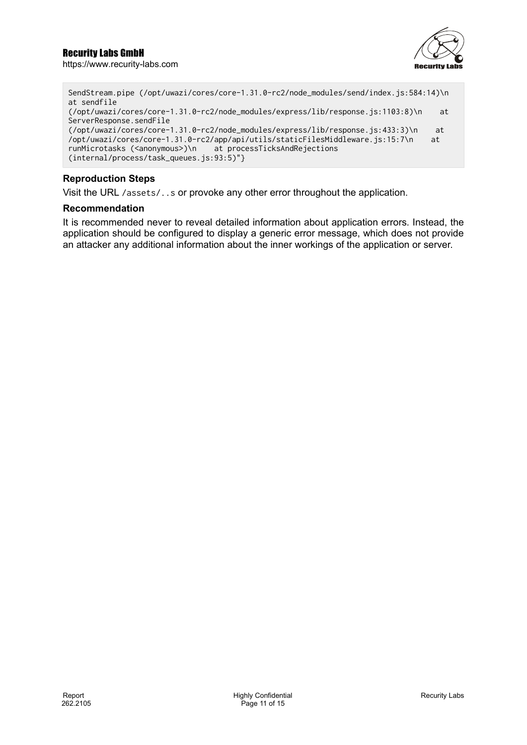

```
SendStream.pipe (/opt/uwazi/cores/core-1.31.0-rc2/node_modules/send/index.js:584:14)\n 
at sendfile 
(/opt/uwazi/cores/core-1.31.0-rc2/node_modules/express/lib/response.js:1103:8)\n at 
ServerResponse.sendFile 
(/opt/uwazi/cores/core-1.31.0-rc2/node_modules/express/lib/response.js:433:3)\n at 
/opt/uwazi/cores/core-1.31.0-rc2/app/api/utils/staticFilesMiddleware.js:15:7\n at 
runMicrotasks (<anonymous>)\n at processTicksAndRejections 
(internal/process/task_queues.js:93:5)"}
```
### **Reproduction Steps**

Visit the URL /assets/..s or provoke any other error throughout the application.

#### **Recommendation**

It is recommended never to reveal detailed information about application errors. Instead, the application should be configured to display a generic error message, which does not provide an attacker any additional information about the inner workings of the application or server.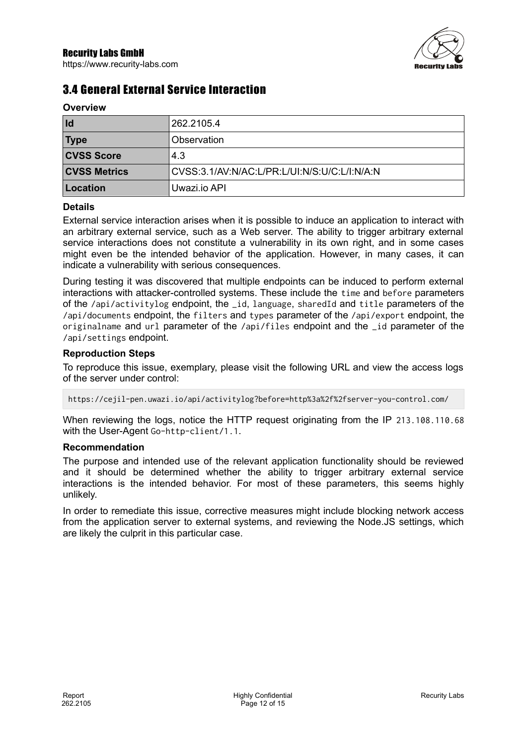

# <span id="page-11-0"></span>3.4 General External Service Interaction

| <b>OVERVIEW</b>     |                                              |
|---------------------|----------------------------------------------|
| Id                  | 262.2105.4                                   |
| <b>Type</b>         | Observation                                  |
| <b>CVSS Score</b>   | 4.3                                          |
| <b>CVSS Metrics</b> | CVSS:3.1/AV:N/AC:L/PR:L/UI:N/S:U/C:L/I:N/A:N |
| Location            | Uwazi.jo API                                 |

#### **Details**

**Overview**

External service interaction arises when it is possible to induce an application to interact with an arbitrary external service, such as a Web server. The ability to trigger arbitrary external service interactions does not constitute a vulnerability in its own right, and in some cases might even be the intended behavior of the application. However, in many cases, it can indicate a vulnerability with serious consequences.

During testing it was discovered that multiple endpoints can be induced to perform external interactions with attacker-controlled systems. These include the time and before parameters of the /api/activitylog endpoint, the \_id, language, sharedId and title parameters of the /api/documents endpoint, the filters and types parameter of the /api/export endpoint, the originalname and url parameter of the /api/files endpoint and the \_id parameter of the /api/settings endpoint.

#### **Reproduction Steps**

To reproduce this issue, exemplary, please visit the following URL and view the access logs of the server under control:

https://cejil-pen.uwazi.io/api/activitylog?before=http%3a%2f%2fserver-you-control.com/

When reviewing the logs, notice the HTTP request originating from the IP 213.108.110.68 with the User-Agent Go-http-client/1.1.

#### **Recommendation**

The purpose and intended use of the relevant application functionality should be reviewed and it should be determined whether the ability to trigger arbitrary external service interactions is the intended behavior. For most of these parameters, this seems highly unlikely.

In order to remediate this issue, corrective measures might include blocking network access from the application server to external systems, and reviewing the Node.JS settings, which are likely the culprit in this particular case.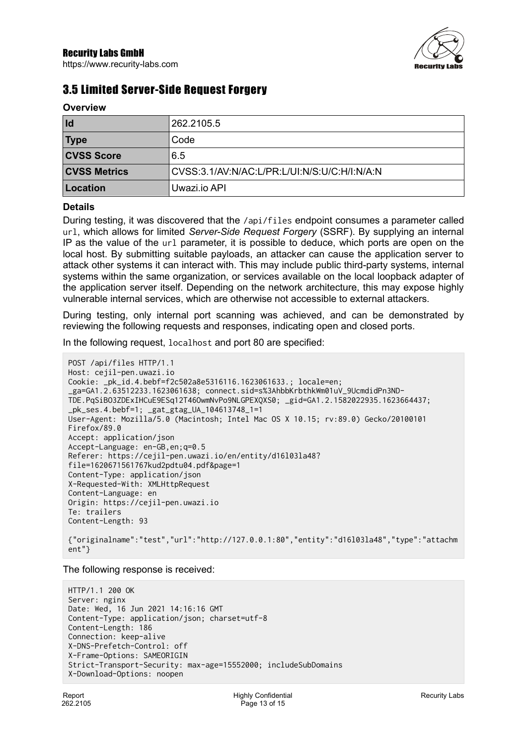

# <span id="page-12-0"></span>3.5 Limited Server-Side Request Forgery

| $V$ v v i v i v i v i v |                                              |
|-------------------------|----------------------------------------------|
| Id                      | 262.2105.5                                   |
| <b>Type</b>             | Code                                         |
| <b>CVSS Score</b>       | 6.5                                          |
| <b>CVSS Metrics</b>     | CVSS:3.1/AV:N/AC:L/PR:L/UI:N/S:U/C:H/I:N/A:N |
| Location                | Uwazi.jo API                                 |

#### **Details**

**Overview**

During testing, it was discovered that the /api/files endpoint consumes a parameter called url, which allows for limited *Server-Side Request Forgery* (SSRF). By supplying an internal IP as the value of the url parameter, it is possible to deduce, which ports are open on the local host. By submitting suitable payloads, an attacker can cause the application server to attack other systems it can interact with. This may include public third-party systems, internal systems within the same organization, or services available on the local loopback adapter of the application server itself. Depending on the network architecture, this may expose highly vulnerable internal services, which are otherwise not accessible to external attackers.

During testing, only internal port scanning was achieved, and can be demonstrated by reviewing the following requests and responses, indicating open and closed ports.

In the following request, localhost and port 80 are specified:

```
POST /api/files HTTP/1.1
Host: cejil-pen.uwazi.io
Cookie: _pk_id.4.bebf=f2c502a8e5316116.1623061633.; locale=en; 
_ga=GA1.2.63512233.1623061638; connect.sid=s%3AhbbKrbthkWm01uV_9UcmdidPn3ND-
TDE.PqSiBO3ZDExIHCuE9ESq12T46OwmNvPo9NLGPEXQXS0; _gid=GA1.2.1582022935.1623664437; 
_pk_ses.4.bebf=1; _gat_gtag_UA_104613748_1=1
User-Agent: Mozilla/5.0 (Macintosh; Intel Mac OS X 10.15; rv:89.0) Gecko/20100101 
Firefox/89.0
Accept: application/json
Accept-Language: en-GB,en;q=0.5
Referer: https://cejil-pen.uwazi.io/en/entity/d16l03la48?
file=1620671561767kud2pdtu04.pdf&page=1
Content-Type: application/json
X-Requested-With: XMLHttpRequest
Content-Language: en
Origin: https://cejil-pen.uwazi.io
Te: trailers
Content-Length: 93
{"originalname":"test","url":"http://127.0.0.1:80","entity":"d16l03la48","type":"attachm
ent"}
```
The following response is received:

```
HTTP/1.1 200 OK
Server: nginx
Date: Wed, 16 Jun 2021 14:16:16 GMT
Content-Type: application/json; charset=utf-8
Content-Length: 186
Connection: keep-alive
X-DNS-Prefetch-Control: off
X-Frame-Options: SAMEORIGIN
Strict-Transport-Security: max-age=15552000; includeSubDomains
X-Download-Options: noopen
```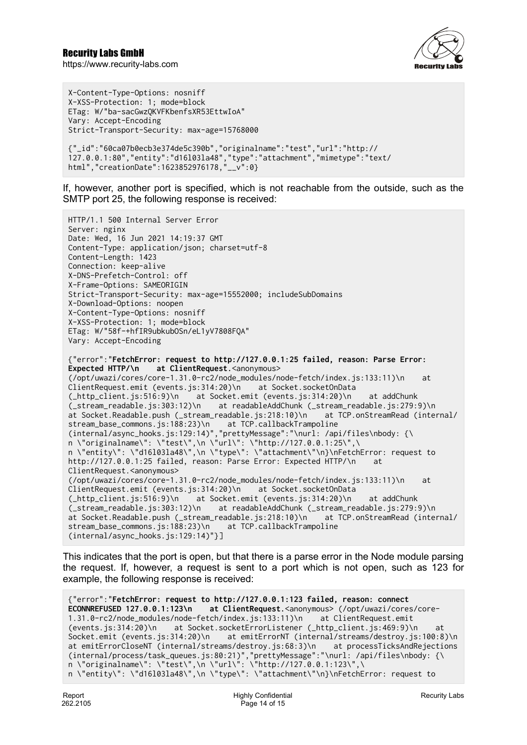

X-Content-Type-Options: nosniff X-XSS-Protection: 1; mode=block ETag: W/"ba-sacGwzQKVFKbenfsXR53EttwIoA" Vary: Accept-Encoding Strict-Transport-Security: max-age=15768000 {"\_id":"60ca07b0ecb3e374de5c390b","originalname":"test","url":"http:// 127.0.0.1:80","entity":"d16l03la48","type":"attachment","mimetype":"text/ html","creationDate":1623852976178,"\_\_v":0}

If, however, another port is specified, which is not reachable from the outside, such as the SMTP port 25, the following response is received:

```
HTTP/1.1 500 Internal Server Error
Server: nginx
Date: Wed, 16 Jun 2021 14:19:37 GMT
Content-Type: application/json; charset=utf-8
Content-Length: 1423
Connection: keep-alive
X-DNS-Prefetch-Control: off
X-Frame-Options: SAMEORIGIN
Strict-Transport-Security: max-age=15552000; includeSubDomains
X-Download-Options: noopen
X-Content-Type-Options: nosniff
X-XSS-Protection: 1; mode=block
ETag: W/"58f-+hfIR9ubkubOSn/eL1yV7808FQA"
Vary: Accept-Encoding
{"error":"FetchError: request to http://127.0.0.1:25 failed, reason: Parse Error: 
Expected HTTP/\n at ClientRequest.<anonymous>
(/opt/uwazi/cores/core-1.31.0-rc2/node_modules/node-fetch/index.js:133:11)\n at 
ClientRequest.emit (events.js:314:20)\n at Socket.socketOnData
(_http_client.js:516:9)\n at Socket.emit (events.js:314:20)\n at addChunk 
(_stream_readable.js:303:12)\n at readableAddChunk (_stream_readable.js:279:9)\n 
at Socket.Readable.push (_stream_readable.js:218:10)\n at TCP.onStreamRead (internal/
stream_base_commons.js:188:23)\n at TCP.callbackTrampoline 
(internal/async_hooks.js:129:14)","prettyMessage":"\nurl: /api/files\nbody: {\
n \"originalname\": \"test\",\n \"url\": \"http://127.0.0.1:25\",\
n \"entity\": \"d16l03la48\",\n \"type\": \"attachment\"\n}\nFetchError: request to 
http://127.0.0.1:25 failed, reason: Parse Error: Expected HTTP/\n at 
ClientRequest.<anonymous>
(/opt/uwazi/cores/core-1.31.0-rc2/node_modules/node-fetch/index.js:133:11)\n at 
ClientRequest.emit (events.js:314:20)\n at Socket.socketOnData 
(_http_client.js:516:9)\n at Socket.emit (events.js:314:20)\n at addChunk 
(_stream_readable.js:303:12)\n at readableAddChunk (_stream_readable.js:279:9)\n 
at Socket.Readable.push (_stream_readable.js:218:10)\n
stream_base_commons.js:188:23)\n at TCP.callbackTrampoline 
(internal/async_hooks.js:129:14)"}]
```
This indicates that the port is open, but that there is a parse error in the Node module parsing the request. If, however, a request is sent to a port which is not open, such as 123 for example, the following response is received:

```
{"error":"FetchError: request to http://127.0.0.1:123 failed, reason: connect 
ECONNREFUSED 127.0.0.1:123\n at ClientRequest.<anonymous> (/opt/uwazi/cores/core-
1.31.0-rc2/node_modules/node-fetch/index.js:133:11)\n at ClientRequest.emit 
(events.js:314:20)\n at Socket.socketErrorListener (_http_client.js:469:9)\n at 
Socket.emit (events.js:314:20)\n at emitErrorNT (internal/streams/destroy.js:100:8)\n
at emitErrorCloseNT (internal/streams/destroy.js:68:3)\n at processTicksAndRejections
(internal/process/task_queues.js:80:21)","prettyMessage":"\nurl: /api/files\nbody: {\
n \"originalname\": \"test\",\n \"url\": \"http://127.0.0.1:123\",\
n \"entity\": \"d16l03la48\",\n \"type\": \"attachment\"\n}\nFetchError: request to
```